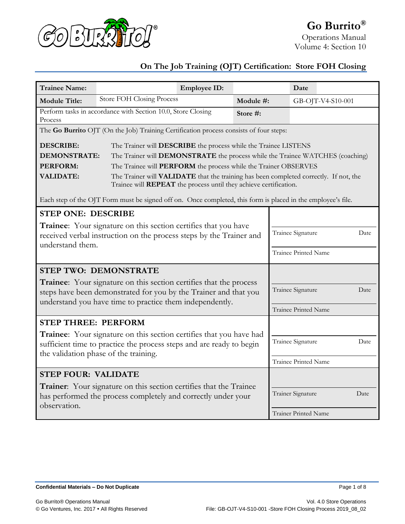

| <b>Trainee Name:</b>                                                                                                                                                                                      | <b>Employee ID:</b>                                                                                                                                                                                                 |                                                  | Date                                      |                   |      |
|-----------------------------------------------------------------------------------------------------------------------------------------------------------------------------------------------------------|---------------------------------------------------------------------------------------------------------------------------------------------------------------------------------------------------------------------|--------------------------------------------------|-------------------------------------------|-------------------|------|
| <b>Module Title:</b>                                                                                                                                                                                      | <b>Store FOH Closing Process</b>                                                                                                                                                                                    | Module #:                                        |                                           | GB-OJT-V4-S10-001 |      |
| Process                                                                                                                                                                                                   | Perform tasks in accordance with Section 10.0, Store Closing                                                                                                                                                        | Store #:                                         |                                           |                   |      |
|                                                                                                                                                                                                           | The Go Burrito OJT (On the Job) Training Certification process consists of four steps:                                                                                                                              |                                                  |                                           |                   |      |
| <b>DESCRIBE:</b><br><b>DEMONSTRATE:</b><br>PERFORM:                                                                                                                                                       | The Trainer will DESCRIBE the process while the Trainee LISTENS<br>The Trainer will DEMONSTRATE the process while the Trainee WATCHES (coaching)<br>The Trainee will PERFORM the process while the Trainer OBSERVES |                                                  |                                           |                   |      |
| <b>VALIDATE:</b>                                                                                                                                                                                          | The Trainer will VALIDATE that the training has been completed correctly. If not, the<br>Trainee will REPEAT the process until they achieve certification.                                                          |                                                  |                                           |                   |      |
|                                                                                                                                                                                                           | Each step of the OJT Form must be signed off on. Once completed, this form is placed in the employee's file.                                                                                                        |                                                  |                                           |                   |      |
| <b>STEP ONE: DESCRIBE</b><br><b>Trainee:</b> Your signature on this section certifies that you have<br>received verbal instruction on the process steps by the Trainer and<br>understand them.            |                                                                                                                                                                                                                     | Trainee Signature<br><b>Trainee Printed Name</b> |                                           | Date              |      |
|                                                                                                                                                                                                           | <b>STEP TWO: DEMONSTRATE</b>                                                                                                                                                                                        |                                                  |                                           |                   |      |
| <b>Trainee:</b> Your signature on this section certifies that the process<br>steps have been demonstrated for you by the Trainer and that you<br>understand you have time to practice them independently. |                                                                                                                                                                                                                     |                                                  | Trainee Signature<br>Trainee Printed Name |                   | Date |
| <b>STEP THREE: PERFORM</b>                                                                                                                                                                                |                                                                                                                                                                                                                     |                                                  |                                           |                   |      |
|                                                                                                                                                                                                           | Trainee: Your signature on this section certifies that you have had<br>sufficient time to practice the process steps and are ready to begin<br>the validation phase of the training.                                |                                                  | Trainee Signature                         |                   | Date |
|                                                                                                                                                                                                           |                                                                                                                                                                                                                     |                                                  | <b>Trainee Printed Name</b>               |                   |      |
| <b>STEP FOUR: VALIDATE</b><br><b>Trainer</b> : Your signature on this section certifies that the Trainee                                                                                                  | Trainer Signature                                                                                                                                                                                                   |                                                  | Date                                      |                   |      |
| observation.                                                                                                                                                                                              | has performed the process completely and correctly under your                                                                                                                                                       |                                                  | Trainer Printed Name                      |                   |      |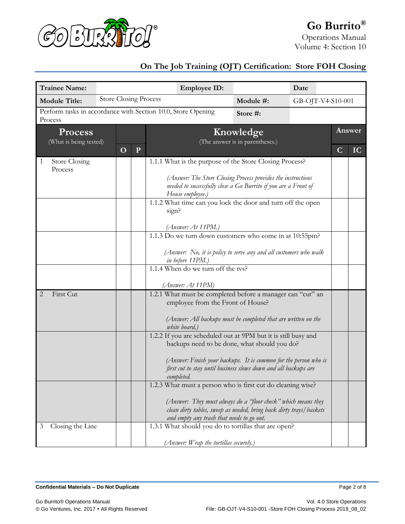

Operations Manual Volume 4: Section 10

| <b>Trainee Name:</b>                 | <b>Employee ID:</b><br>Date |                                                                                                                                                                                                                                                                                                                                                                                                                                                                                                                         |                                 |  |             |        |
|--------------------------------------|-----------------------------|-------------------------------------------------------------------------------------------------------------------------------------------------------------------------------------------------------------------------------------------------------------------------------------------------------------------------------------------------------------------------------------------------------------------------------------------------------------------------------------------------------------------------|---------------------------------|--|-------------|--------|
| <b>Module Title:</b>                 |                             | <b>Store Closing Process</b><br>Module #:<br>GB-OJT-V4-S10-001                                                                                                                                                                                                                                                                                                                                                                                                                                                          |                                 |  |             |        |
| Process                              |                             | Perform tasks in accordance with Section 10.0, Store Opening                                                                                                                                                                                                                                                                                                                                                                                                                                                            | Store #:                        |  |             |        |
| <b>Process</b>                       |                             |                                                                                                                                                                                                                                                                                                                                                                                                                                                                                                                         | Knowledge                       |  |             | Answer |
| (What is being tested)               | $\mathbf{P}$<br>$\mathbf O$ |                                                                                                                                                                                                                                                                                                                                                                                                                                                                                                                         | (The answer is in parentheses.) |  | $\mathbf C$ | IC     |
| <b>Store Closing</b><br>1<br>Process |                             | 1.1.1 What is the purpose of the Store Closing Process?<br>(Answer: The Store Closing Process provides the instructions<br>needed to successfully close a Go Burrito if you are a Front of<br>House employee.)                                                                                                                                                                                                                                                                                                          |                                 |  |             |        |
|                                      |                             | 1.1.2 What time can you lock the door and turn off the open<br>sign?<br>(Answer: At 11PM.)                                                                                                                                                                                                                                                                                                                                                                                                                              |                                 |  |             |        |
|                                      |                             | 1.1.3 Do we turn down customers who come in at 10:55pm?<br>(Answer: $No$ , it is policy to serve any and all customers who walk<br>in before 11PM.)                                                                                                                                                                                                                                                                                                                                                                     |                                 |  |             |        |
|                                      |                             | 1.1.4 When do we turn off the tvs?<br>(Answer: At 11PM)                                                                                                                                                                                                                                                                                                                                                                                                                                                                 |                                 |  |             |        |
| First Cut<br>$\overline{2}$          |                             | 1.2.1 What must be completed before a manager can "cut" an<br>employee from the Front of House?<br>(Answer: All backups must be completed that are written on the<br>white board.)                                                                                                                                                                                                                                                                                                                                      |                                 |  |             |        |
|                                      |                             | 1.2.2 If you are scheduled out at 9PM but it is still busy and<br>backups need to be done, what should you do?<br>(Answer: Finish your backups. It is common for the person who is<br>first cut to stay until business slows down and all backups are<br>completed.<br>1.2.3 What must a person who is first cut do cleaning wise?<br>(Answer: They must always do a "floor check" which means they<br>clean dirty tables, sweep as needed, bring back dirty trays/baskets<br>and empty any trash that needs to go out. |                                 |  |             |        |
| Closing the Line<br>3                |                             | 1.3.1 What should you do to tortillas that are open?<br>(Answer: Wrap the tortillas securely.)                                                                                                                                                                                                                                                                                                                                                                                                                          |                                 |  |             |        |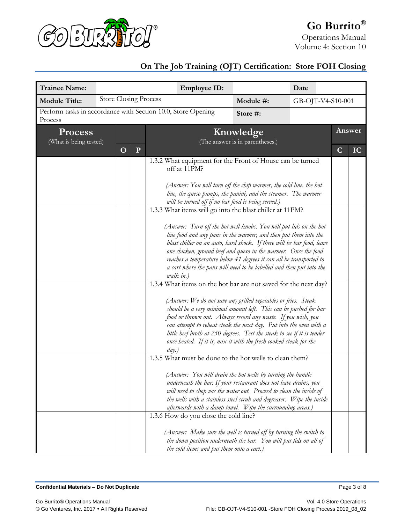

Operations Manual Volume 4: Section 10

| <b>Trainee Name:</b>                     |                                                                |                                                                          | <b>Employee ID:</b>                                                                                                                                                                                                                                                                                                                                                                                                                                                                                                                                                                                                                       |  | Date                            |   |    |        |
|------------------------------------------|----------------------------------------------------------------|--------------------------------------------------------------------------|-------------------------------------------------------------------------------------------------------------------------------------------------------------------------------------------------------------------------------------------------------------------------------------------------------------------------------------------------------------------------------------------------------------------------------------------------------------------------------------------------------------------------------------------------------------------------------------------------------------------------------------------|--|---------------------------------|---|----|--------|
| <b>Module Title:</b>                     | <b>Store Closing Process</b><br>Module #:<br>GB-OJT-V4-S10-001 |                                                                          |                                                                                                                                                                                                                                                                                                                                                                                                                                                                                                                                                                                                                                           |  |                                 |   |    |        |
| Process                                  |                                                                | Perform tasks in accordance with Section 10.0, Store Opening<br>Store #: |                                                                                                                                                                                                                                                                                                                                                                                                                                                                                                                                                                                                                                           |  |                                 |   |    |        |
| <b>Process</b><br>(What is being tested) |                                                                |                                                                          | Knowledge                                                                                                                                                                                                                                                                                                                                                                                                                                                                                                                                                                                                                                 |  | (The answer is in parentheses.) |   |    | Answer |
|                                          | $\mathbf{O}$                                                   | $\mathbf{P}$                                                             |                                                                                                                                                                                                                                                                                                                                                                                                                                                                                                                                                                                                                                           |  |                                 | C | IC |        |
|                                          |                                                                |                                                                          | 1.3.2 What equipment for the Front of House can be turned<br>off at 11PM?<br>(Answer: You will turn off the chip warmer, the cold line, the hot<br>line, the queso pumps, the panini, and the steamer. The warmer<br>will be turned off if no bar food is being served.)                                                                                                                                                                                                                                                                                                                                                                  |  |                                 |   |    |        |
|                                          |                                                                |                                                                          | 1.3.3 What items will go into the blast chiller at 11PM?<br>(Answer: Turn off the hot well knobs. You will put lids on the hot<br>line food and any pans in the warmer, and then put them into the<br>blast chiller on an auto, hard shock. If there will be bar food, leave<br>one chicken, ground beef and queso in the warmer. Once the food<br>reaches a temperature below 41 degrees it can all be transported to<br>a cart where the pans will need to be labelled and then put into the<br>$walk$ in.)                                                                                                                             |  |                                 |   |    |        |
|                                          |                                                                |                                                                          | 1.3.4 What items on the hot bar are not saved for the next day?<br>(Answer: We do not save any grilled vegetables or fries. Steak<br>should be a very minimal amount left. This can be pushed for bar<br>food or thrown out. Always record any waste. If you wish, you<br>can attempt to reheat steak the next day. Put into the oven with a<br>little beef broth at 250 degrees. Test the steak to see if it is tender<br>once heated. If it is, mix it with the fresh cooked steak for the<br>day.                                                                                                                                      |  |                                 |   |    |        |
|                                          |                                                                |                                                                          | 1.3.5 What must be done to the hot wells to clean them?<br>(Answer: You will drain the hot wells by turning the handle<br>underneath the bar. If your restaurant does not have drains, you<br>will need to shop vac the water out. Proceed to clean the inside of<br>the wells with a stainless steel scrub and degreaser. Wipe the inside<br>afterwards with a damp towel. Wipe the surrounding areas.)<br>1.3.6 How do you close the cold line?<br>(Answer: Make sure the well is turned off by turning the switch to<br>the down position underneath the bar. You will put lids on all of<br>the cold items and put them onto a cart.) |  |                                 |   |    |        |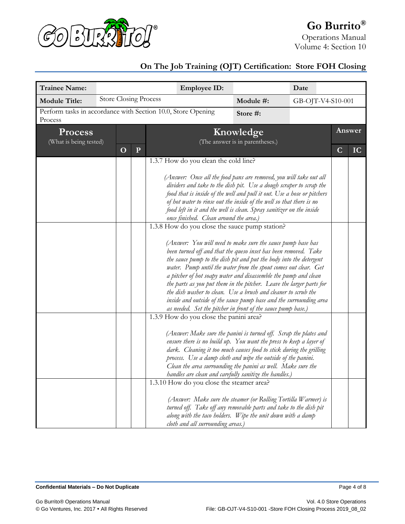

Operations Manual Volume 4: Section 10

| <b>Trainee Name:</b>   | <b>Employee ID:</b><br>Date |                                           |           |                                                                                                                                                                                                                                                                                                                                                                                                                                                                                                                                                                                                                                                                                                                         |          |  |                   |    |
|------------------------|-----------------------------|-------------------------------------------|-----------|-------------------------------------------------------------------------------------------------------------------------------------------------------------------------------------------------------------------------------------------------------------------------------------------------------------------------------------------------------------------------------------------------------------------------------------------------------------------------------------------------------------------------------------------------------------------------------------------------------------------------------------------------------------------------------------------------------------------------|----------|--|-------------------|----|
| <b>Module Title:</b>   |                             | <b>Store Closing Process</b><br>Module #: |           |                                                                                                                                                                                                                                                                                                                                                                                                                                                                                                                                                                                                                                                                                                                         |          |  | GB-OJT-V4-S10-001 |    |
| Process                |                             |                                           |           | Perform tasks in accordance with Section 10.0, Store Opening                                                                                                                                                                                                                                                                                                                                                                                                                                                                                                                                                                                                                                                            | Store #: |  |                   |    |
| <b>Process</b>         |                             |                                           |           | Knowledge<br>(The answer is in parentheses.)                                                                                                                                                                                                                                                                                                                                                                                                                                                                                                                                                                                                                                                                            |          |  | Answer            |    |
| (What is being tested) |                             | $\mathbf O$                               | ${\bf P}$ |                                                                                                                                                                                                                                                                                                                                                                                                                                                                                                                                                                                                                                                                                                                         |          |  | $\mathbf C$       | IC |
|                        |                             |                                           |           | 1.3.7 How do you clean the cold line?                                                                                                                                                                                                                                                                                                                                                                                                                                                                                                                                                                                                                                                                                   |          |  |                   |    |
|                        |                             |                                           |           | (Answer: Once all the food pans are removed, you will take out all<br>dividers and take to the dish pit. Use a dough scraper to scrap the<br>food that is inside of the well and pull it out. Use a hose or pitchers<br>of hot water to rinse out the inside of the well so that there is no<br>food left in it and the well is clean. Spray sanitizer on the inside<br>once finished. Clean around the area.)                                                                                                                                                                                                                                                                                                          |          |  |                   |    |
|                        |                             |                                           |           | 1.3.8 How do you close the sauce pump station?<br>(Answer: You will need to make sure the sauce pump base has<br>been turned off and that the queso inset has been removed. Take<br>the sauce pump to the dish pit and put the body into the detergent<br>water. Pump until the water from the spout comes out clear. Get<br>a pitcher of hot soapy water and disassemble the pump and clean<br>the parts as you put them in the pitcher. Leave the larger parts for<br>the dish washer to clean. Use a brush and cleaner to scrub the<br>inside and outside of the sauce pump base and the surrounding area<br>as needed. Set the pitcher in front of the sauce pump base.)<br>1.3.9 How do you close the panini area? |          |  |                   |    |
|                        |                             |                                           |           | (Answer: Make sure the panini is turned off. Scrap the plates and<br>ensure there is no build up. You want the press to keep a layer of<br>dark. Cleaning it too much causes food to stick during the grilling<br>process. Use a damp cloth and wipe the outside of the panini.<br>Clean the area surrounding the panini as well. Make sure the<br>handles are clean and carefully sanitize the handles.)<br>1.3.10 How do you close the steamer area?                                                                                                                                                                                                                                                                  |          |  |                   |    |
|                        |                             |                                           |           | (Answer: Make sure the steamer (or Rolling Tortilla Warmer) is<br>turned off. Take off any removable parts and take to the dish pit<br>along with the taco holders. Wipe the unit down with a damp<br>cloth and all surrounding areas.)                                                                                                                                                                                                                                                                                                                                                                                                                                                                                 |          |  |                   |    |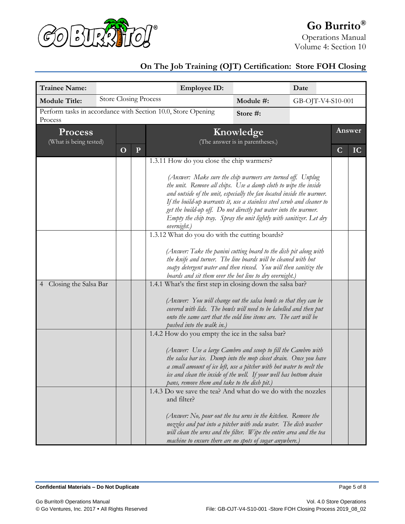

Operations Manual Volume 4: Section 10

| <b>Trainee Name:</b>                     | <b>Employee ID:</b><br>Date |                                           |              |                                                                                                                                                                                                                                                                                                                                                                                                                                                                                                                                                                                                                                                                                                                                                         |          |  |                   |    |
|------------------------------------------|-----------------------------|-------------------------------------------|--------------|---------------------------------------------------------------------------------------------------------------------------------------------------------------------------------------------------------------------------------------------------------------------------------------------------------------------------------------------------------------------------------------------------------------------------------------------------------------------------------------------------------------------------------------------------------------------------------------------------------------------------------------------------------------------------------------------------------------------------------------------------------|----------|--|-------------------|----|
| <b>Module Title:</b>                     |                             | <b>Store Closing Process</b><br>Module #: |              |                                                                                                                                                                                                                                                                                                                                                                                                                                                                                                                                                                                                                                                                                                                                                         |          |  | GB-OJT-V4-S10-001 |    |
| Process                                  |                             |                                           |              | Perform tasks in accordance with Section 10.0, Store Opening                                                                                                                                                                                                                                                                                                                                                                                                                                                                                                                                                                                                                                                                                            | Store #: |  |                   |    |
| <b>Process</b><br>(What is being tested) |                             |                                           |              | Knowledge<br>(The answer is in parentheses.)                                                                                                                                                                                                                                                                                                                                                                                                                                                                                                                                                                                                                                                                                                            |          |  | Answer            |    |
|                                          |                             | $\mathbf{O}$                              | $\mathbf{P}$ |                                                                                                                                                                                                                                                                                                                                                                                                                                                                                                                                                                                                                                                                                                                                                         |          |  | $\mathbf C$       | IC |
|                                          |                             |                                           |              | 1.3.11 How do you close the chip warmers?<br>(Answer: Make sure the chip warmers are turned off. Unplug<br>the unit. Remove all chips. Use a damp cloth to wipe the inside<br>and outside of the unit, especially the fan located inside the warmer.<br>If the build-up warrants it, use a stainless steel scrub and cleaner to<br>get the build-up off. Do not directly put water into the warmer.<br>Empty the chip tray. Spray the unit lightly with sanitizer. Let dry<br>overnight.)<br>1.3.12 What do you do with the cutting boards?<br>(Answer: Take the panini cutting board to the dish pit along with<br>the knife and turner. The line boards will be cleaned with hot<br>soapy detergent water and then rinsed. You will then sanitize the |          |  |                   |    |
| Closing the Salsa Bar<br>4               |                             |                                           |              | boards and sit them over the hot line to dry overnight.)<br>1.4.1 What's the first step in closing down the salsa bar?<br>(Answer: You will change out the salsa bowls so that they can be<br>covered with lids. The bowls will need to be labelled and then put<br>onto the same cart that the cold line items are. The cart will be<br>pushed into the walk in.)<br>1.4.2 How do you empty the ice in the salsa bar?<br>(Answer: Use a large Cambro and scoop to fill the Cambro with<br>the salsa bar ice. Dump into the mop closet drain. Once you have                                                                                                                                                                                             |          |  |                   |    |
|                                          |                             |                                           |              | a small amount of ice left, use a pitcher with hot water to melt the<br>ice and clean the inside of the well. If your well has bottom drain<br>pans, remove them and take to the dish pit.)<br>1.4.3 Do we save the tea? And what do we do with the nozzles<br>and filter?<br>(Answer: $No$ , pour out the tea urns in the kitchen. Remove the<br>nozzles and put into a pitcher with soda water. The dish washer<br>will clean the urns and the filter. Wipe the entire area and the tea<br>machine to ensure there are no spots of sugar anywhere.)                                                                                                                                                                                                   |          |  |                   |    |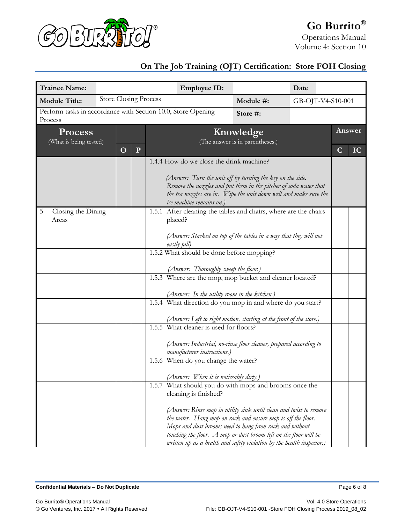

Operations Manual Volume 4: Section 10

| <b>Trainee Name:</b>             |                                                                        |              |              | <b>Employee ID:</b>                                                                                                                                                                                                                                                                                                                                                                                                                                                        |          | Date |             |    |
|----------------------------------|------------------------------------------------------------------------|--------------|--------------|----------------------------------------------------------------------------------------------------------------------------------------------------------------------------------------------------------------------------------------------------------------------------------------------------------------------------------------------------------------------------------------------------------------------------------------------------------------------------|----------|------|-------------|----|
| <b>Module Title:</b>             | <b>Store Closing Process</b><br>Module #:<br>GB-OJT-V4-S10-001         |              |              |                                                                                                                                                                                                                                                                                                                                                                                                                                                                            |          |      |             |    |
| Process                          |                                                                        |              |              | Perform tasks in accordance with Section 10.0, Store Opening                                                                                                                                                                                                                                                                                                                                                                                                               | Store #: |      |             |    |
| <b>Process</b>                   | Knowledge<br>(What is being tested)<br>(The answer is in parentheses.) |              |              |                                                                                                                                                                                                                                                                                                                                                                                                                                                                            | Answer   |      |             |    |
|                                  |                                                                        | $\mathbf{O}$ | $\mathbf{P}$ |                                                                                                                                                                                                                                                                                                                                                                                                                                                                            |          |      | $\mathbf C$ | IC |
|                                  |                                                                        |              |              | 1.4.4 How do we close the drink machine?<br>(Answer: Turn the unit off by turning the key on the side.<br>Remove the nozzles and put them in the pitcher of soda water that<br>the tea nozzles are in. Wipe the unit down well and make sure the<br>ice machine remains on.)                                                                                                                                                                                               |          |      |             |    |
| Closing the Dining<br>5<br>Areas |                                                                        |              |              | 1.5.1 After cleaning the tables and chairs, where are the chairs<br>placed?<br>(Answer: Stacked on top of the tables in a way that they will not<br>easily fall)<br>1.5.2 What should be done before mopping?                                                                                                                                                                                                                                                              |          |      |             |    |
|                                  |                                                                        |              |              | (Answer: Thoroughly sweep the floor.)                                                                                                                                                                                                                                                                                                                                                                                                                                      |          |      |             |    |
|                                  |                                                                        |              |              | 1.5.3 Where are the mop, mop bucket and cleaner located?<br>(Answer: In the utility room in the kitchen.)<br>1.5.4 What direction do you mop in and where do you start?                                                                                                                                                                                                                                                                                                    |          |      |             |    |
|                                  |                                                                        |              |              | (Answer: Left to right motion, starting at the front of the store.)                                                                                                                                                                                                                                                                                                                                                                                                        |          |      |             |    |
|                                  |                                                                        |              |              | 1.5.5 What cleaner is used for floors?<br>(Answer: Industrial, no-rinse floor cleaner, prepared according to<br>manufacturer instructions.)<br>1.5.6 When do you change the water?                                                                                                                                                                                                                                                                                         |          |      |             |    |
|                                  |                                                                        |              |              | (Answer: When it is noticeably dirty.)<br>1.5.7 What should you do with mops and brooms once the<br>cleaning is finished?<br>(Answer: Rinse mop in utility sink until clean and twist to remove<br>the water. Hang mop on rack and ensure mop is off the floor.<br>Mops and dust brooms need to hang from rack and without<br>touching the floor. $A$ mop or dust broom left on the floor will be<br>written up as a health and safety violation by the health inspector.) |          |      |             |    |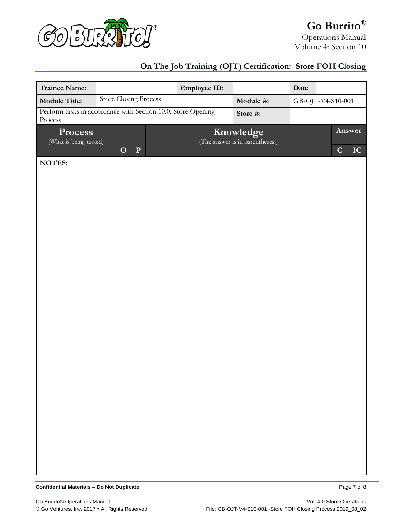

Operations Manual Volume 4: Section 10

| <b>Trainee Name:</b>              |                              | <b>Employee ID:</b>                                          |                                              | Date              |                                   |
|-----------------------------------|------------------------------|--------------------------------------------------------------|----------------------------------------------|-------------------|-----------------------------------|
| <b>Module Title:</b>              | <b>Store Closing Process</b> |                                                              | Module #:                                    | GB-OJT-V4-S10-001 |                                   |
| Process                           |                              | Perform tasks in accordance with Section 10.0, Store Opening | Store #:                                     |                   |                                   |
| Process<br>(What is being tested) | ${\bf P}$<br>$\mathbf O$     |                                                              | Knowledge<br>(The answer is in parentheses.) |                   | Answer<br>$\mathbf C$<br>$\bf IC$ |
| NOTES:                            |                              |                                                              |                                              |                   |                                   |
|                                   |                              |                                                              |                                              |                   |                                   |
|                                   |                              |                                                              |                                              |                   |                                   |
|                                   |                              |                                                              |                                              |                   |                                   |
|                                   |                              |                                                              |                                              |                   |                                   |
|                                   |                              |                                                              |                                              |                   |                                   |
|                                   |                              |                                                              |                                              |                   |                                   |
|                                   |                              |                                                              |                                              |                   |                                   |
|                                   |                              |                                                              |                                              |                   |                                   |
|                                   |                              |                                                              |                                              |                   |                                   |
|                                   |                              |                                                              |                                              |                   |                                   |
|                                   |                              |                                                              |                                              |                   |                                   |
|                                   |                              |                                                              |                                              |                   |                                   |
|                                   |                              |                                                              |                                              |                   |                                   |
|                                   |                              |                                                              |                                              |                   |                                   |
|                                   |                              |                                                              |                                              |                   |                                   |
|                                   |                              |                                                              |                                              |                   |                                   |
|                                   |                              |                                                              |                                              |                   |                                   |
|                                   |                              |                                                              |                                              |                   |                                   |
|                                   |                              |                                                              |                                              |                   |                                   |
|                                   |                              |                                                              |                                              |                   |                                   |
|                                   |                              |                                                              |                                              |                   |                                   |
|                                   |                              |                                                              |                                              |                   |                                   |

**Confidential Materials – Do Not Duplicate** Page 7 of 8 and 2008 and 2008 and 2008 and 2008 and 2008 and 2008 and 2008 and 2008 and 2008 and 2008 and 2008 and 2008 and 2008 and 2008 and 2008 and 2008 and 2008 and 2008 and